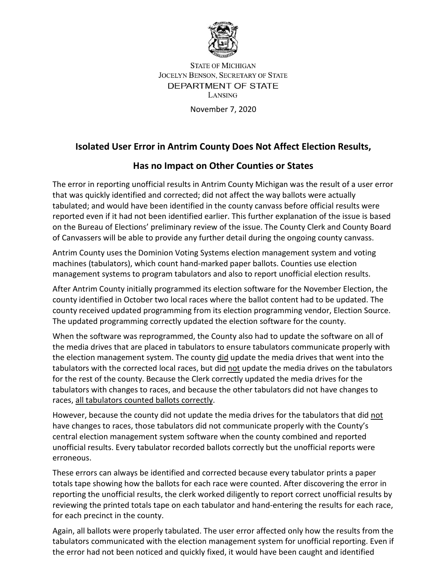

**STATE OF MICHIGAN JOCELYN BENSON, SECRETARY OF STATE** DEPARTMENT OF STATE **LANSING** 

November 7, 2020

## **Isolated User Error in Antrim County Does Not Affect Election Results,**

## **Has no Impact on Other Counties or States**

The error in reporting unofficial results in Antrim County Michigan was the result of a user error that was quickly identified and corrected; did not affect the way ballots were actually tabulated; and would have been identified in the county canvass before official results were reported even if it had not been identified earlier. This further explanation of the issue is based on the Bureau of Elections' preliminary review of the issue. The County Clerk and County Board of Canvassers will be able to provide any further detail during the ongoing county canvass.

Antrim County uses the Dominion Voting Systems election management system and voting machines (tabulators), which count hand-marked paper ballots. Counties use election management systems to program tabulators and also to report unofficial election results.

After Antrim County initially programmed its election software for the November Election, the county identified in October two local races where the ballot content had to be updated. The county received updated programming from its election programming vendor, Election Source. The updated programming correctly updated the election software for the county.

When the software was reprogrammed, the County also had to update the software on all of the media drives that are placed in tabulators to ensure tabulators communicate properly with the election management system. The county did update the media drives that went into the tabulators with the corrected local races, but did not update the media drives on the tabulators for the rest of the county. Because the Clerk correctly updated the media drives for the tabulators with changes to races, and because the other tabulators did not have changes to races, all tabulators counted ballots correctly.

However, because the county did not update the media drives for the tabulators that did not have changes to races, those tabulators did not communicate properly with the County's central election management system software when the county combined and reported unofficial results. Every tabulator recorded ballots correctly but the unofficial reports were erroneous.

These errors can always be identified and corrected because every tabulator prints a paper totals tape showing how the ballots for each race were counted. After discovering the error in reporting the unofficial results, the clerk worked diligently to report correct unofficial results by reviewing the printed totals tape on each tabulator and hand-entering the results for each race, for each precinct in the county.

Again, all ballots were properly tabulated. The user error affected only how the results from the tabulators communicated with the election management system for unofficial reporting. Even if the error had not been noticed and quickly fixed, it would have been caught and identified